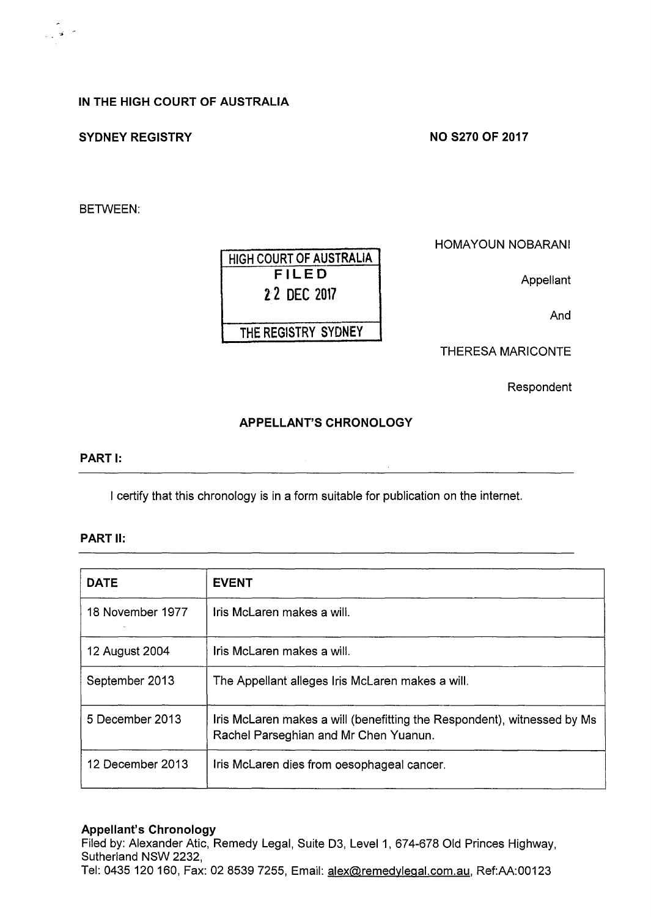## IN THE HIGH COURT OF AUSTRALIA

## SYDNEY REGISTRY

#### NO S270 OF 2017

BETWEEN:

·•

HIGH COURT OF AUSTRALIA FILED 22 DEC 2017 THE REGISTRY SYDNEY

HOMAYOUN NOBARANI

Appellant

And

THERESA MARICONTE

Respondent

## APPELLANT'S CHRONOLOGY

## PART I:

I certify that this chronology is in a form suitable for publication on the internet.

# PART 11:

| <b>DATE</b>      | <b>EVENT</b>                                                                                                     |
|------------------|------------------------------------------------------------------------------------------------------------------|
| 18 November 1977 | Iris McLaren makes a will.                                                                                       |
| 12 August 2004   | Iris McLaren makes a will.                                                                                       |
| September 2013   | The Appellant alleges Iris McLaren makes a will.                                                                 |
| 5 December 2013  | Iris McLaren makes a will (benefitting the Respondent), witnessed by Ms<br>Rachel Parseghian and Mr Chen Yuanun. |
| 12 December 2013 | Iris McLaren dies from oesophageal cancer.                                                                       |

#### Appellant's Chronology

Filed by: Alexander Atic, Remedy Legal, Suite D3, Level 1, 674-678 Old Princes Highway, Sutherland NSW 2232, Tel: 0435 120 160, Fax: 02 8539 7255, Email: alex@remedylegal.com.au, Ref:AA:00123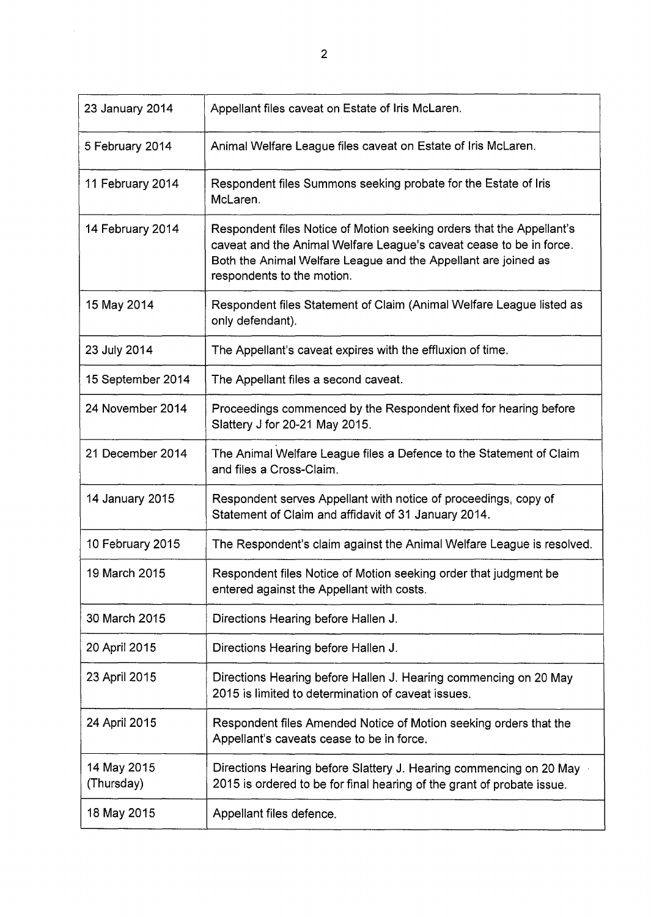| 23 January 2014           | Appellant files caveat on Estate of Iris McLaren.                                                                                                                                                                                            |
|---------------------------|----------------------------------------------------------------------------------------------------------------------------------------------------------------------------------------------------------------------------------------------|
| 5 February 2014           | Animal Welfare League files caveat on Estate of Iris McLaren.                                                                                                                                                                                |
| 11 February 2014          | Respondent files Summons seeking probate for the Estate of Iris<br>McLaren.                                                                                                                                                                  |
| 14 February 2014          | Respondent files Notice of Motion seeking orders that the Appellant's<br>caveat and the Animal Welfare League's caveat cease to be in force.<br>Both the Animal Welfare League and the Appellant are joined as<br>respondents to the motion. |
| 15 May 2014               | Respondent files Statement of Claim (Animal Welfare League listed as<br>only defendant).                                                                                                                                                     |
| 23 July 2014              | The Appellant's caveat expires with the effluxion of time.                                                                                                                                                                                   |
| 15 September 2014         | The Appellant files a second caveat.                                                                                                                                                                                                         |
| 24 November 2014          | Proceedings commenced by the Respondent fixed for hearing before<br>Slattery J for 20-21 May 2015.                                                                                                                                           |
| 21 December 2014          | The Animal Welfare League files a Defence to the Statement of Claim<br>and files a Cross-Claim.                                                                                                                                              |
| 14 January 2015           | Respondent serves Appellant with notice of proceedings, copy of<br>Statement of Claim and affidavit of 31 January 2014.                                                                                                                      |
| 10 February 2015          | The Respondent's claim against the Animal Welfare League is resolved.                                                                                                                                                                        |
| 19 March 2015             | Respondent files Notice of Motion seeking order that judgment be<br>entered against the Appellant with costs.                                                                                                                                |
| 30 March 2015             | Directions Hearing before Hallen J.                                                                                                                                                                                                          |
| 20 April 2015             | Directions Hearing before Hallen J.                                                                                                                                                                                                          |
| 23 April 2015             | Directions Hearing before Hallen J. Hearing commencing on 20 May<br>2015 is limited to determination of caveat issues.                                                                                                                       |
| 24 April 2015             | Respondent files Amended Notice of Motion seeking orders that the<br>Appellant's caveats cease to be in force.                                                                                                                               |
| 14 May 2015<br>(Thursday) | Directions Hearing before Slattery J. Hearing commencing on 20 May<br>2015 is ordered to be for final hearing of the grant of probate issue.                                                                                                 |
| 18 May 2015               | Appellant files defence.                                                                                                                                                                                                                     |